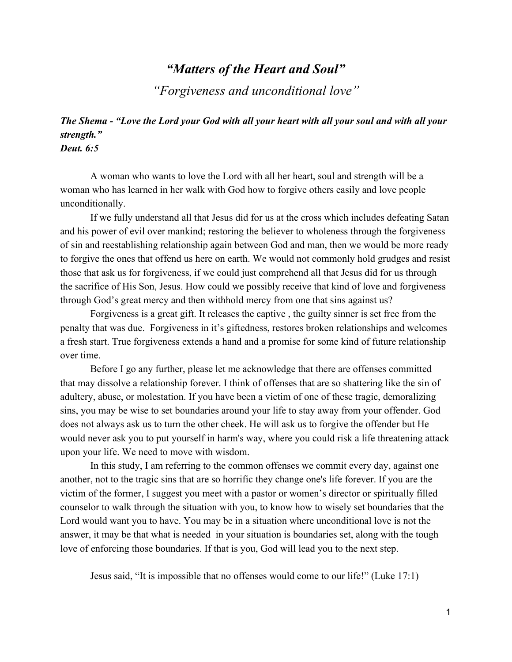# *"Matters of the Heart and Soul"*

*"Forgiveness and unconditional love"*

#### *The Shema "Love the Lord your God with all your heart with all your soul and with all your strength." Deut. 6:5*

A woman who wants to love the Lord with all her heart, soul and strength will be a woman who has learned in her walk with God how to forgive others easily and love people unconditionally.

If we fully understand all that Jesus did for us at the cross which includes defeating Satan and his power of evil over mankind; restoring the believer to wholeness through the forgiveness of sin and reestablishing relationship again between God and man, then we would be more ready to forgive the ones that offend us here on earth. We would not commonly hold grudges and resist those that ask us for forgiveness, if we could just comprehend all that Jesus did for us through the sacrifice of His Son, Jesus. How could we possibly receive that kind of love and forgiveness through God's great mercy and then withhold mercy from one that sins against us?

Forgiveness is a great gift. It releases the captive , the guilty sinner is set free from the penalty that was due. Forgiveness in it's giftedness, restores broken relationships and welcomes a fresh start. True forgiveness extends a hand and a promise for some kind of future relationship over time.

Before I go any further, please let me acknowledge that there are offenses committed that may dissolve a relationship forever. I think of offenses that are so shattering like the sin of adultery, abuse, or molestation. If you have been a victim of one of these tragic, demoralizing sins, you may be wise to set boundaries around your life to stay away from your offender. God does not always ask us to turn the other cheek. He will ask us to forgive the offender but He would never ask you to put yourself in harm's way, where you could risk a life threatening attack upon your life. We need to move with wisdom.

In this study, I am referring to the common offenses we commit every day, against one another, not to the tragic sins that are so horrific they change one's life forever. If you are the victim of the former, I suggest you meet with a pastor or women's director or spiritually filled counselor to walk through the situation with you, to know how to wisely set boundaries that the Lord would want you to have. You may be in a situation where unconditional love is not the answer, it may be that what is needed in your situation is boundaries set, along with the tough love of enforcing those boundaries. If that is you, God will lead you to the next step.

Jesus said, "It is impossible that no offenses would come to our life!" (Luke 17:1)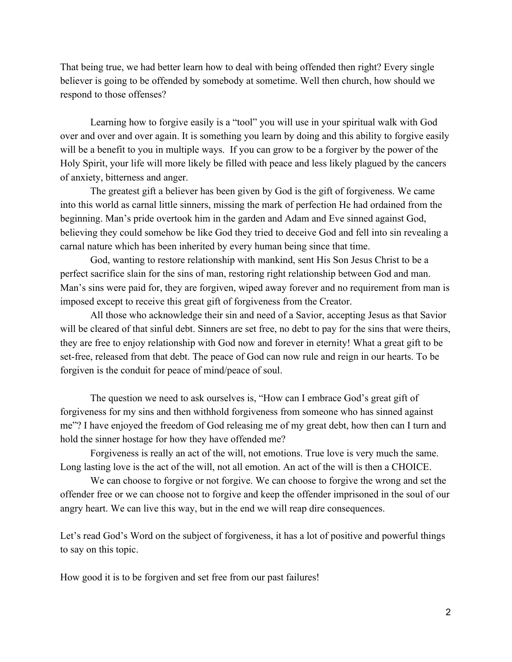That being true, we had better learn how to deal with being offended then right? Every single believer is going to be offended by somebody at sometime. Well then church, how should we respond to those offenses?

Learning how to forgive easily is a "tool" you will use in your spiritual walk with God over and over and over again. It is something you learn by doing and this ability to forgive easily will be a benefit to you in multiple ways. If you can grow to be a forgiver by the power of the Holy Spirit, your life will more likely be filled with peace and less likely plagued by the cancers of anxiety, bitterness and anger.

The greatest gift a believer has been given by God is the gift of forgiveness. We came into this world as carnal little sinners, missing the mark of perfection He had ordained from the beginning. Man's pride overtook him in the garden and Adam and Eve sinned against God, believing they could somehow be like God they tried to deceive God and fell into sin revealing a carnal nature which has been inherited by every human being since that time.

God, wanting to restore relationship with mankind, sent His Son Jesus Christ to be a perfect sacrifice slain for the sins of man, restoring right relationship between God and man. Man's sins were paid for, they are forgiven, wiped away forever and no requirement from man is imposed except to receive this great gift of forgiveness from the Creator.

All those who acknowledge their sin and need of a Savior, accepting Jesus as that Savior will be cleared of that sinful debt. Sinners are set free, no debt to pay for the sins that were theirs, they are free to enjoy relationship with God now and forever in eternity! What a great gift to be set-free, released from that debt. The peace of God can now rule and reign in our hearts. To be forgiven is the conduit for peace of mind/peace of soul.

The question we need to ask ourselves is, "How can I embrace God's great gift of forgiveness for my sins and then withhold forgiveness from someone who has sinned against me"? I have enjoyed the freedom of God releasing me of my great debt, how then can I turn and hold the sinner hostage for how they have offended me?

Forgiveness is really an act of the will, not emotions. True love is very much the same. Long lasting love is the act of the will, not all emotion. An act of the will is then a CHOICE.

We can choose to forgive or not forgive. We can choose to forgive the wrong and set the offender free or we can choose not to forgive and keep the offender imprisoned in the soul of our angry heart. We can live this way, but in the end we will reap dire consequences.

Let's read God's Word on the subject of forgiveness, it has a lot of positive and powerful things to say on this topic.

How good it is to be forgiven and set free from our past failures!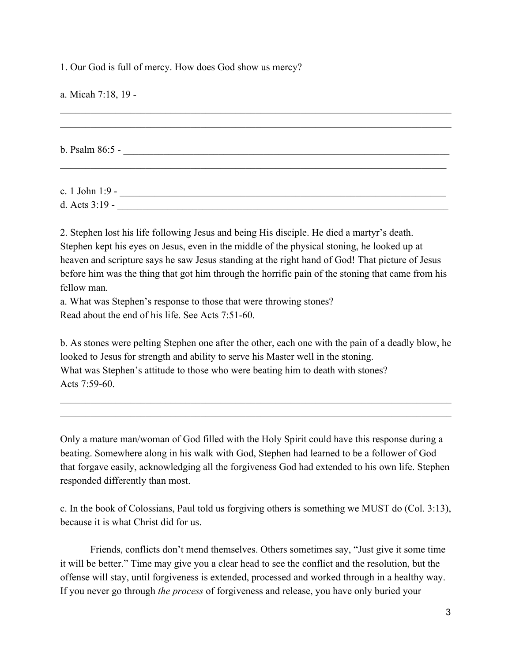1. Our God is full of mercy. How does God show us mercy?

a. Micah 7:18, 19  $\mathcal{L}_\mathcal{L} = \{ \mathcal{L}_\mathcal{L} = \{ \mathcal{L}_\mathcal{L} = \{ \mathcal{L}_\mathcal{L} = \{ \mathcal{L}_\mathcal{L} = \{ \mathcal{L}_\mathcal{L} = \{ \mathcal{L}_\mathcal{L} = \{ \mathcal{L}_\mathcal{L} = \{ \mathcal{L}_\mathcal{L} = \{ \mathcal{L}_\mathcal{L} = \{ \mathcal{L}_\mathcal{L} = \{ \mathcal{L}_\mathcal{L} = \{ \mathcal{L}_\mathcal{L} = \{ \mathcal{L}_\mathcal{L} = \{ \mathcal{L}_\mathcal{$  $\mathcal{L}_\mathcal{L} = \{ \mathcal{L}_\mathcal{L} = \{ \mathcal{L}_\mathcal{L} = \{ \mathcal{L}_\mathcal{L} = \{ \mathcal{L}_\mathcal{L} = \{ \mathcal{L}_\mathcal{L} = \{ \mathcal{L}_\mathcal{L} = \{ \mathcal{L}_\mathcal{L} = \{ \mathcal{L}_\mathcal{L} = \{ \mathcal{L}_\mathcal{L} = \{ \mathcal{L}_\mathcal{L} = \{ \mathcal{L}_\mathcal{L} = \{ \mathcal{L}_\mathcal{L} = \{ \mathcal{L}_\mathcal{L} = \{ \mathcal{L}_\mathcal{$ b. Psalm 86:5 - $\mathcal{L}_\mathcal{L} = \{ \mathcal{L}_\mathcal{L} = \{ \mathcal{L}_\mathcal{L} = \{ \mathcal{L}_\mathcal{L} = \{ \mathcal{L}_\mathcal{L} = \{ \mathcal{L}_\mathcal{L} = \{ \mathcal{L}_\mathcal{L} = \{ \mathcal{L}_\mathcal{L} = \{ \mathcal{L}_\mathcal{L} = \{ \mathcal{L}_\mathcal{L} = \{ \mathcal{L}_\mathcal{L} = \{ \mathcal{L}_\mathcal{L} = \{ \mathcal{L}_\mathcal{L} = \{ \mathcal{L}_\mathcal{L} = \{ \mathcal{L}_\mathcal{$ c. 1 John 1:9 \_\_\_\_\_\_\_\_\_\_\_\_\_\_\_\_\_\_\_\_\_\_\_\_\_\_\_\_\_\_\_\_\_\_\_\_\_\_\_\_\_\_\_\_\_\_\_\_\_\_\_\_\_\_\_\_\_\_\_\_\_\_\_\_\_ d. Acts 3:19 \_\_\_\_\_\_\_\_\_\_\_\_\_\_\_\_\_\_\_\_\_\_\_\_\_\_\_\_\_\_\_\_\_\_\_\_\_\_\_\_\_\_\_\_\_\_\_\_\_\_\_\_\_\_\_\_\_\_\_\_\_\_\_\_\_\_

2. Stephen lost his life following Jesus and being His disciple. He died a martyr's death. Stephen kept his eyes on Jesus, even in the middle of the physical stoning, he looked up at heaven and scripture says he saw Jesus standing at the right hand of God! That picture of Jesus before him was the thing that got him through the horrific pain of the stoning that came from his fellow man.

a. What was Stephen's response to those that were throwing stones? Read about the end of his life. See Acts 7:51-60.

b. As stones were pelting Stephen one after the other, each one with the pain of a deadly blow, he looked to Jesus for strength and ability to serve his Master well in the stoning. What was Stephen's attitude to those who were beating him to death with stones? Acts  $7.59-60$ .

 $\mathcal{L}_\mathcal{L} = \{ \mathcal{L}_\mathcal{L} = \{ \mathcal{L}_\mathcal{L} = \{ \mathcal{L}_\mathcal{L} = \{ \mathcal{L}_\mathcal{L} = \{ \mathcal{L}_\mathcal{L} = \{ \mathcal{L}_\mathcal{L} = \{ \mathcal{L}_\mathcal{L} = \{ \mathcal{L}_\mathcal{L} = \{ \mathcal{L}_\mathcal{L} = \{ \mathcal{L}_\mathcal{L} = \{ \mathcal{L}_\mathcal{L} = \{ \mathcal{L}_\mathcal{L} = \{ \mathcal{L}_\mathcal{L} = \{ \mathcal{L}_\mathcal{$  $\mathcal{L}_\mathcal{L} = \{ \mathcal{L}_\mathcal{L} = \{ \mathcal{L}_\mathcal{L} = \{ \mathcal{L}_\mathcal{L} = \{ \mathcal{L}_\mathcal{L} = \{ \mathcal{L}_\mathcal{L} = \{ \mathcal{L}_\mathcal{L} = \{ \mathcal{L}_\mathcal{L} = \{ \mathcal{L}_\mathcal{L} = \{ \mathcal{L}_\mathcal{L} = \{ \mathcal{L}_\mathcal{L} = \{ \mathcal{L}_\mathcal{L} = \{ \mathcal{L}_\mathcal{L} = \{ \mathcal{L}_\mathcal{L} = \{ \mathcal{L}_\mathcal{$ 

Only a mature man/woman of God filled with the Holy Spirit could have this response during a beating. Somewhere along in his walk with God, Stephen had learned to be a follower of God that forgave easily, acknowledging all the forgiveness God had extended to his own life. Stephen responded differently than most.

c. In the book of Colossians, Paul told us forgiving others is something we MUST do (Col. 3:13), because it is what Christ did for us.

Friends, conflicts don't mend themselves. Others sometimes say, "Just give it some time it will be better." Time may give you a clear head to see the conflict and the resolution, but the offense will stay, until forgiveness is extended, processed and worked through in a healthy way. If you never go through *the process* of forgiveness and release, you have only buried your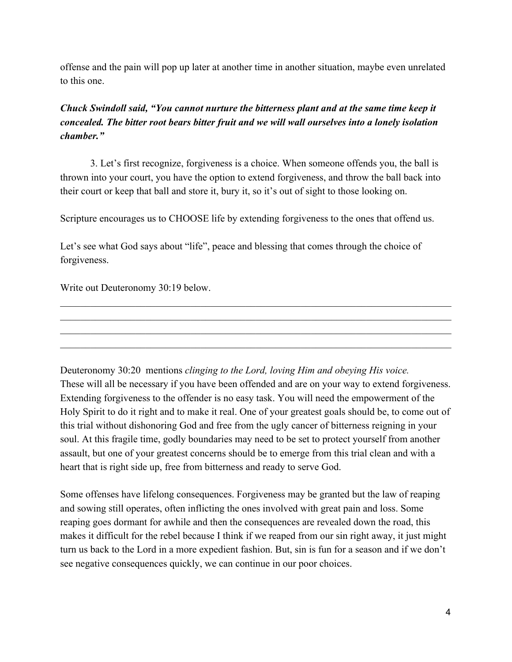offense and the pain will pop up later at another time in another situation, maybe even unrelated to this one.

### *Chuck Swindoll said, "You cannot nurture the bitterness plant and at the same time keep it concealed. The bitter root bears bitter fruit and we will wall ourselves into a lonely isolation chamber."*

3. Let's first recognize, forgiveness is a choice. When someone offends you, the ball is thrown into your court, you have the option to extend forgiveness, and throw the ball back into their court or keep that ball and store it, bury it, so it's out of sight to those looking on.

Scripture encourages us to CHOOSE life by extending forgiveness to the ones that offend us.

Let's see what God says about "life", peace and blessing that comes through the choice of forgiveness.

Write out Deuteronomy 30:19 below.

Deuteronomy 30:20 mentions *clinging to the Lord, loving Him and obeying His voice.* These will all be necessary if you have been offended and are on your way to extend forgiveness. Extending forgiveness to the offender is no easy task. You will need the empowerment of the Holy Spirit to do it right and to make it real. One of your greatest goals should be, to come out of this trial without dishonoring God and free from the ugly cancer of bitterness reigning in your soul. At this fragile time, godly boundaries may need to be set to protect yourself from another assault, but one of your greatest concerns should be to emerge from this trial clean and with a heart that is right side up, free from bitterness and ready to serve God.

 $\mathcal{L}_\mathcal{L} = \{ \mathcal{L}_\mathcal{L} = \{ \mathcal{L}_\mathcal{L} = \{ \mathcal{L}_\mathcal{L} = \{ \mathcal{L}_\mathcal{L} = \{ \mathcal{L}_\mathcal{L} = \{ \mathcal{L}_\mathcal{L} = \{ \mathcal{L}_\mathcal{L} = \{ \mathcal{L}_\mathcal{L} = \{ \mathcal{L}_\mathcal{L} = \{ \mathcal{L}_\mathcal{L} = \{ \mathcal{L}_\mathcal{L} = \{ \mathcal{L}_\mathcal{L} = \{ \mathcal{L}_\mathcal{L} = \{ \mathcal{L}_\mathcal{$  $\mathcal{L}_\mathcal{L} = \{ \mathcal{L}_\mathcal{L} = \{ \mathcal{L}_\mathcal{L} = \{ \mathcal{L}_\mathcal{L} = \{ \mathcal{L}_\mathcal{L} = \{ \mathcal{L}_\mathcal{L} = \{ \mathcal{L}_\mathcal{L} = \{ \mathcal{L}_\mathcal{L} = \{ \mathcal{L}_\mathcal{L} = \{ \mathcal{L}_\mathcal{L} = \{ \mathcal{L}_\mathcal{L} = \{ \mathcal{L}_\mathcal{L} = \{ \mathcal{L}_\mathcal{L} = \{ \mathcal{L}_\mathcal{L} = \{ \mathcal{L}_\mathcal{$  $\mathcal{L}_\mathcal{L} = \{ \mathcal{L}_\mathcal{L} = \{ \mathcal{L}_\mathcal{L} = \{ \mathcal{L}_\mathcal{L} = \{ \mathcal{L}_\mathcal{L} = \{ \mathcal{L}_\mathcal{L} = \{ \mathcal{L}_\mathcal{L} = \{ \mathcal{L}_\mathcal{L} = \{ \mathcal{L}_\mathcal{L} = \{ \mathcal{L}_\mathcal{L} = \{ \mathcal{L}_\mathcal{L} = \{ \mathcal{L}_\mathcal{L} = \{ \mathcal{L}_\mathcal{L} = \{ \mathcal{L}_\mathcal{L} = \{ \mathcal{L}_\mathcal{$  $\mathcal{L}_\mathcal{L} = \{ \mathcal{L}_\mathcal{L} = \{ \mathcal{L}_\mathcal{L} = \{ \mathcal{L}_\mathcal{L} = \{ \mathcal{L}_\mathcal{L} = \{ \mathcal{L}_\mathcal{L} = \{ \mathcal{L}_\mathcal{L} = \{ \mathcal{L}_\mathcal{L} = \{ \mathcal{L}_\mathcal{L} = \{ \mathcal{L}_\mathcal{L} = \{ \mathcal{L}_\mathcal{L} = \{ \mathcal{L}_\mathcal{L} = \{ \mathcal{L}_\mathcal{L} = \{ \mathcal{L}_\mathcal{L} = \{ \mathcal{L}_\mathcal{$ 

Some offenses have lifelong consequences. Forgiveness may be granted but the law of reaping and sowing still operates, often inflicting the ones involved with great pain and loss. Some reaping goes dormant for awhile and then the consequences are revealed down the road, this makes it difficult for the rebel because I think if we reaped from our sin right away, it just might turn us back to the Lord in a more expedient fashion. But, sin is fun for a season and if we don't see negative consequences quickly, we can continue in our poor choices.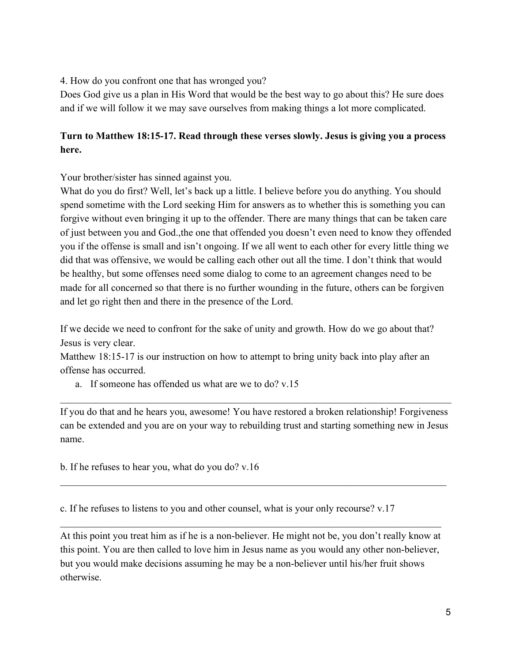4. How do you confront one that has wronged you?

Does God give us a plan in His Word that would be the best way to go about this? He sure does and if we will follow it we may save ourselves from making things a lot more complicated.

# **Turn to Matthew 18:1517. Read through these verses slowly. Jesus is giving you a process here.**

Your brother/sister has sinned against you.

What do you do first? Well, let's back up a little. I believe before you do anything. You should spend sometime with the Lord seeking Him for answers as to whether this is something you can forgive without even bringing it up to the offender. There are many things that can be taken care of just between you and God.,the one that offended you doesn't even need to know they offended you if the offense is small and isn't ongoing. If we all went to each other for every little thing we did that was offensive, we would be calling each other out all the time. I don't think that would be healthy, but some offenses need some dialog to come to an agreement changes need to be made for all concerned so that there is no further wounding in the future, others can be forgiven and let go right then and there in the presence of the Lord.

If we decide we need to confront for the sake of unity and growth. How do we go about that? Jesus is very clear.

Matthew 18:15-17 is our instruction on how to attempt to bring unity back into play after an offense has occurred.

a. If someone has offended us what are we to do? v.15

If you do that and he hears you, awesome! You have restored a broken relationship! Forgiveness can be extended and you are on your way to rebuilding trust and starting something new in Jesus name.

 $\mathcal{L}_\mathcal{L} = \{ \mathcal{L}_\mathcal{L} = \{ \mathcal{L}_\mathcal{L} = \{ \mathcal{L}_\mathcal{L} = \{ \mathcal{L}_\mathcal{L} = \{ \mathcal{L}_\mathcal{L} = \{ \mathcal{L}_\mathcal{L} = \{ \mathcal{L}_\mathcal{L} = \{ \mathcal{L}_\mathcal{L} = \{ \mathcal{L}_\mathcal{L} = \{ \mathcal{L}_\mathcal{L} = \{ \mathcal{L}_\mathcal{L} = \{ \mathcal{L}_\mathcal{L} = \{ \mathcal{L}_\mathcal{L} = \{ \mathcal{L}_\mathcal{$ 

 $\mathcal{L}_\mathcal{L} = \{ \mathcal{L}_\mathcal{L} = \{ \mathcal{L}_\mathcal{L} = \{ \mathcal{L}_\mathcal{L} = \{ \mathcal{L}_\mathcal{L} = \{ \mathcal{L}_\mathcal{L} = \{ \mathcal{L}_\mathcal{L} = \{ \mathcal{L}_\mathcal{L} = \{ \mathcal{L}_\mathcal{L} = \{ \mathcal{L}_\mathcal{L} = \{ \mathcal{L}_\mathcal{L} = \{ \mathcal{L}_\mathcal{L} = \{ \mathcal{L}_\mathcal{L} = \{ \mathcal{L}_\mathcal{L} = \{ \mathcal{L}_\mathcal{$ 

b. If he refuses to hear you, what do you do? v.16

c. If he refuses to listens to you and other counsel, what is your only recourse? v.17

At this point you treat him as if he is a non-believer. He might not be, you don't really know at this point. You are then called to love him in Jesus name as you would any other non-believer, but you would make decisions assuming he may be a non-believer until his/her fruit shows otherwise.

 $\mathcal{L}_\text{max}$  , and the contribution of the contribution of the contribution of the contribution of the contribution of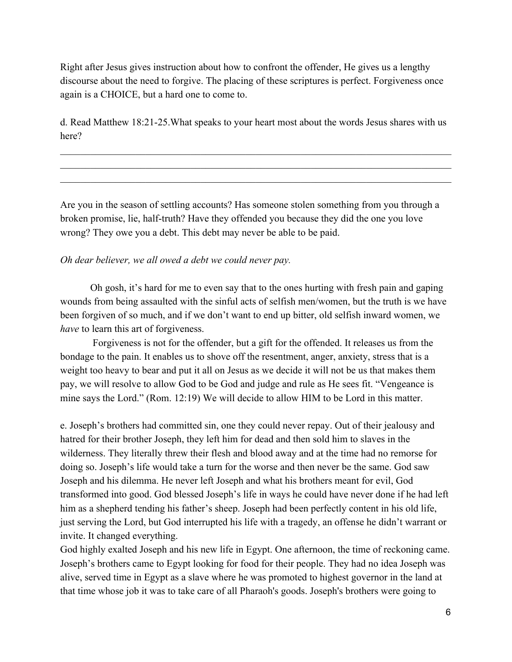Right after Jesus gives instruction about how to confront the offender, He gives us a lengthy discourse about the need to forgive. The placing of these scriptures is perfect. Forgiveness once again is a CHOICE, but a hard one to come to.

d. Read Matthew 18:21-25. What speaks to your heart most about the words Jesus shares with us here?

 $\mathcal{L}_\mathcal{L} = \{ \mathcal{L}_\mathcal{L} = \{ \mathcal{L}_\mathcal{L} = \{ \mathcal{L}_\mathcal{L} = \{ \mathcal{L}_\mathcal{L} = \{ \mathcal{L}_\mathcal{L} = \{ \mathcal{L}_\mathcal{L} = \{ \mathcal{L}_\mathcal{L} = \{ \mathcal{L}_\mathcal{L} = \{ \mathcal{L}_\mathcal{L} = \{ \mathcal{L}_\mathcal{L} = \{ \mathcal{L}_\mathcal{L} = \{ \mathcal{L}_\mathcal{L} = \{ \mathcal{L}_\mathcal{L} = \{ \mathcal{L}_\mathcal{$  $\mathcal{L}_\mathcal{L} = \{ \mathcal{L}_\mathcal{L} = \{ \mathcal{L}_\mathcal{L} = \{ \mathcal{L}_\mathcal{L} = \{ \mathcal{L}_\mathcal{L} = \{ \mathcal{L}_\mathcal{L} = \{ \mathcal{L}_\mathcal{L} = \{ \mathcal{L}_\mathcal{L} = \{ \mathcal{L}_\mathcal{L} = \{ \mathcal{L}_\mathcal{L} = \{ \mathcal{L}_\mathcal{L} = \{ \mathcal{L}_\mathcal{L} = \{ \mathcal{L}_\mathcal{L} = \{ \mathcal{L}_\mathcal{L} = \{ \mathcal{L}_\mathcal{$  $\mathcal{L}_\mathcal{L} = \{ \mathcal{L}_\mathcal{L} = \{ \mathcal{L}_\mathcal{L} = \{ \mathcal{L}_\mathcal{L} = \{ \mathcal{L}_\mathcal{L} = \{ \mathcal{L}_\mathcal{L} = \{ \mathcal{L}_\mathcal{L} = \{ \mathcal{L}_\mathcal{L} = \{ \mathcal{L}_\mathcal{L} = \{ \mathcal{L}_\mathcal{L} = \{ \mathcal{L}_\mathcal{L} = \{ \mathcal{L}_\mathcal{L} = \{ \mathcal{L}_\mathcal{L} = \{ \mathcal{L}_\mathcal{L} = \{ \mathcal{L}_\mathcal{$ 

Are you in the season of settling accounts? Has someone stolen something from you through a broken promise, lie, half-truth? Have they offended you because they did the one you love wrong? They owe you a debt. This debt may never be able to be paid.

#### *Oh dear believer, we all owed a debt we could never pay.*

Oh gosh, it's hard for me to even say that to the ones hurting with fresh pain and gaping wounds from being assaulted with the sinful acts of selfish men/women, but the truth is we have been forgiven of so much, and if we don't want to end up bitter, old selfish inward women, we *have* to learn this art of forgiveness.

Forgiveness is not for the offender, but a gift for the offended. It releases us from the bondage to the pain. It enables us to shove off the resentment, anger, anxiety, stress that is a weight too heavy to bear and put it all on Jesus as we decide it will not be us that makes them pay, we will resolve to allow God to be God and judge and rule as He sees fit. "Vengeance is mine says the Lord." (Rom. 12:19) We will decide to allow HIM to be Lord in this matter.

e. Joseph's brothers had committed sin, one they could never repay. Out of their jealousy and hatred for their brother Joseph, they left him for dead and then sold him to slaves in the wilderness. They literally threw their flesh and blood away and at the time had no remorse for doing so. Joseph's life would take a turn for the worse and then never be the same. God saw Joseph and his dilemma. He never left Joseph and what his brothers meant for evil, God transformed into good. God blessed Joseph's life in ways he could have never done if he had left him as a shepherd tending his father's sheep. Joseph had been perfectly content in his old life, just serving the Lord, but God interrupted his life with a tragedy, an offense he didn't warrant or invite. It changed everything.

God highly exalted Joseph and his new life in Egypt. One afternoon, the time of reckoning came. Joseph's brothers came to Egypt looking for food for their people. They had no idea Joseph was alive, served time in Egypt as a slave where he was promoted to highest governor in the land at that time whose job it was to take care of all Pharaoh's goods. Joseph's brothers were going to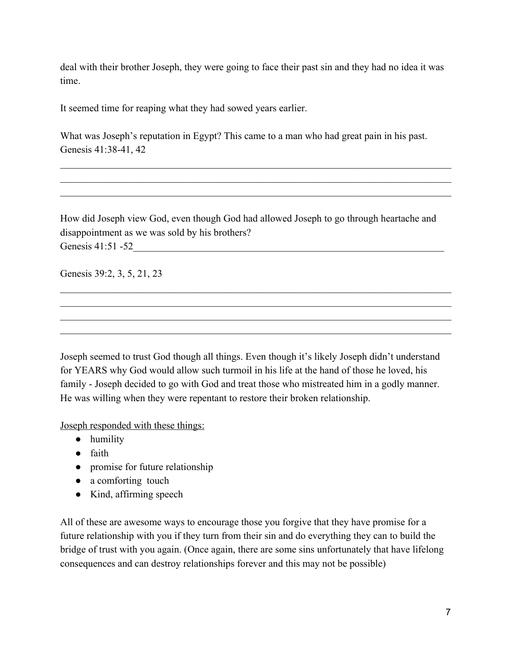deal with their brother Joseph, they were going to face their past sin and they had no idea it was time.

It seemed time for reaping what they had sowed years earlier.

What was Joseph's reputation in Egypt? This came to a man who had great pain in his past. Genesis 41:38-41, 42

 $\mathcal{L}_\mathcal{L} = \{ \mathcal{L}_\mathcal{L} = \{ \mathcal{L}_\mathcal{L} = \{ \mathcal{L}_\mathcal{L} = \{ \mathcal{L}_\mathcal{L} = \{ \mathcal{L}_\mathcal{L} = \{ \mathcal{L}_\mathcal{L} = \{ \mathcal{L}_\mathcal{L} = \{ \mathcal{L}_\mathcal{L} = \{ \mathcal{L}_\mathcal{L} = \{ \mathcal{L}_\mathcal{L} = \{ \mathcal{L}_\mathcal{L} = \{ \mathcal{L}_\mathcal{L} = \{ \mathcal{L}_\mathcal{L} = \{ \mathcal{L}_\mathcal{$  $\mathcal{L}_\mathcal{L} = \{ \mathcal{L}_\mathcal{L} = \{ \mathcal{L}_\mathcal{L} = \{ \mathcal{L}_\mathcal{L} = \{ \mathcal{L}_\mathcal{L} = \{ \mathcal{L}_\mathcal{L} = \{ \mathcal{L}_\mathcal{L} = \{ \mathcal{L}_\mathcal{L} = \{ \mathcal{L}_\mathcal{L} = \{ \mathcal{L}_\mathcal{L} = \{ \mathcal{L}_\mathcal{L} = \{ \mathcal{L}_\mathcal{L} = \{ \mathcal{L}_\mathcal{L} = \{ \mathcal{L}_\mathcal{L} = \{ \mathcal{L}_\mathcal{$  $\mathcal{L}_\mathcal{L} = \{ \mathcal{L}_\mathcal{L} = \{ \mathcal{L}_\mathcal{L} = \{ \mathcal{L}_\mathcal{L} = \{ \mathcal{L}_\mathcal{L} = \{ \mathcal{L}_\mathcal{L} = \{ \mathcal{L}_\mathcal{L} = \{ \mathcal{L}_\mathcal{L} = \{ \mathcal{L}_\mathcal{L} = \{ \mathcal{L}_\mathcal{L} = \{ \mathcal{L}_\mathcal{L} = \{ \mathcal{L}_\mathcal{L} = \{ \mathcal{L}_\mathcal{L} = \{ \mathcal{L}_\mathcal{L} = \{ \mathcal{L}_\mathcal{$ 

How did Joseph view God, even though God had allowed Joseph to go through heartache and disappointment as we was sold by his brothers? Genesis 41:51 -52

 $\mathcal{L}_\mathcal{L} = \{ \mathcal{L}_\mathcal{L} = \{ \mathcal{L}_\mathcal{L} = \{ \mathcal{L}_\mathcal{L} = \{ \mathcal{L}_\mathcal{L} = \{ \mathcal{L}_\mathcal{L} = \{ \mathcal{L}_\mathcal{L} = \{ \mathcal{L}_\mathcal{L} = \{ \mathcal{L}_\mathcal{L} = \{ \mathcal{L}_\mathcal{L} = \{ \mathcal{L}_\mathcal{L} = \{ \mathcal{L}_\mathcal{L} = \{ \mathcal{L}_\mathcal{L} = \{ \mathcal{L}_\mathcal{L} = \{ \mathcal{L}_\mathcal{$  $\mathcal{L}_\mathcal{L} = \{ \mathcal{L}_\mathcal{L} = \{ \mathcal{L}_\mathcal{L} = \{ \mathcal{L}_\mathcal{L} = \{ \mathcal{L}_\mathcal{L} = \{ \mathcal{L}_\mathcal{L} = \{ \mathcal{L}_\mathcal{L} = \{ \mathcal{L}_\mathcal{L} = \{ \mathcal{L}_\mathcal{L} = \{ \mathcal{L}_\mathcal{L} = \{ \mathcal{L}_\mathcal{L} = \{ \mathcal{L}_\mathcal{L} = \{ \mathcal{L}_\mathcal{L} = \{ \mathcal{L}_\mathcal{L} = \{ \mathcal{L}_\mathcal{$  $\mathcal{L}_\mathcal{L} = \{ \mathcal{L}_\mathcal{L} = \{ \mathcal{L}_\mathcal{L} = \{ \mathcal{L}_\mathcal{L} = \{ \mathcal{L}_\mathcal{L} = \{ \mathcal{L}_\mathcal{L} = \{ \mathcal{L}_\mathcal{L} = \{ \mathcal{L}_\mathcal{L} = \{ \mathcal{L}_\mathcal{L} = \{ \mathcal{L}_\mathcal{L} = \{ \mathcal{L}_\mathcal{L} = \{ \mathcal{L}_\mathcal{L} = \{ \mathcal{L}_\mathcal{L} = \{ \mathcal{L}_\mathcal{L} = \{ \mathcal{L}_\mathcal{$  $\mathcal{L}_\mathcal{L} = \{ \mathcal{L}_\mathcal{L} = \{ \mathcal{L}_\mathcal{L} = \{ \mathcal{L}_\mathcal{L} = \{ \mathcal{L}_\mathcal{L} = \{ \mathcal{L}_\mathcal{L} = \{ \mathcal{L}_\mathcal{L} = \{ \mathcal{L}_\mathcal{L} = \{ \mathcal{L}_\mathcal{L} = \{ \mathcal{L}_\mathcal{L} = \{ \mathcal{L}_\mathcal{L} = \{ \mathcal{L}_\mathcal{L} = \{ \mathcal{L}_\mathcal{L} = \{ \mathcal{L}_\mathcal{L} = \{ \mathcal{L}_\mathcal{$ 

Genesis 39:2, 3, 5, 21, 23

Joseph seemed to trust God though all things. Even though it's likely Joseph didn't understand for YEARS why God would allow such turmoil in his life at the hand of those he loved, his family - Joseph decided to go with God and treat those who mistreated him in a godly manner. He was willing when they were repentant to restore their broken relationship.

Joseph responded with these things:

- humility
- faith
- promise for future relationship
- a comforting touch
- Kind, affirming speech

All of these are awesome ways to encourage those you forgive that they have promise for a future relationship with you if they turn from their sin and do everything they can to build the bridge of trust with you again. (Once again, there are some sins unfortunately that have lifelong consequences and can destroy relationships forever and this may not be possible)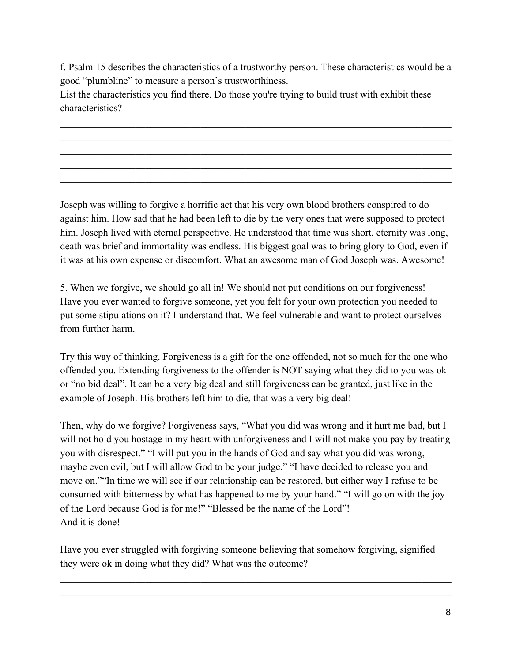f. Psalm 15 describes the characteristics of a trustworthy person. These characteristics would be a good "plumbline" to measure a person's trustworthiness.

 $\mathcal{L}_\mathcal{L} = \{ \mathcal{L}_\mathcal{L} = \{ \mathcal{L}_\mathcal{L} = \{ \mathcal{L}_\mathcal{L} = \{ \mathcal{L}_\mathcal{L} = \{ \mathcal{L}_\mathcal{L} = \{ \mathcal{L}_\mathcal{L} = \{ \mathcal{L}_\mathcal{L} = \{ \mathcal{L}_\mathcal{L} = \{ \mathcal{L}_\mathcal{L} = \{ \mathcal{L}_\mathcal{L} = \{ \mathcal{L}_\mathcal{L} = \{ \mathcal{L}_\mathcal{L} = \{ \mathcal{L}_\mathcal{L} = \{ \mathcal{L}_\mathcal{$  $\mathcal{L}_\mathcal{L} = \{ \mathcal{L}_\mathcal{L} = \{ \mathcal{L}_\mathcal{L} = \{ \mathcal{L}_\mathcal{L} = \{ \mathcal{L}_\mathcal{L} = \{ \mathcal{L}_\mathcal{L} = \{ \mathcal{L}_\mathcal{L} = \{ \mathcal{L}_\mathcal{L} = \{ \mathcal{L}_\mathcal{L} = \{ \mathcal{L}_\mathcal{L} = \{ \mathcal{L}_\mathcal{L} = \{ \mathcal{L}_\mathcal{L} = \{ \mathcal{L}_\mathcal{L} = \{ \mathcal{L}_\mathcal{L} = \{ \mathcal{L}_\mathcal{$  $\mathcal{L}_\mathcal{L} = \{ \mathcal{L}_\mathcal{L} = \{ \mathcal{L}_\mathcal{L} = \{ \mathcal{L}_\mathcal{L} = \{ \mathcal{L}_\mathcal{L} = \{ \mathcal{L}_\mathcal{L} = \{ \mathcal{L}_\mathcal{L} = \{ \mathcal{L}_\mathcal{L} = \{ \mathcal{L}_\mathcal{L} = \{ \mathcal{L}_\mathcal{L} = \{ \mathcal{L}_\mathcal{L} = \{ \mathcal{L}_\mathcal{L} = \{ \mathcal{L}_\mathcal{L} = \{ \mathcal{L}_\mathcal{L} = \{ \mathcal{L}_\mathcal{$  $\mathcal{L}_\mathcal{L} = \{ \mathcal{L}_\mathcal{L} = \{ \mathcal{L}_\mathcal{L} = \{ \mathcal{L}_\mathcal{L} = \{ \mathcal{L}_\mathcal{L} = \{ \mathcal{L}_\mathcal{L} = \{ \mathcal{L}_\mathcal{L} = \{ \mathcal{L}_\mathcal{L} = \{ \mathcal{L}_\mathcal{L} = \{ \mathcal{L}_\mathcal{L} = \{ \mathcal{L}_\mathcal{L} = \{ \mathcal{L}_\mathcal{L} = \{ \mathcal{L}_\mathcal{L} = \{ \mathcal{L}_\mathcal{L} = \{ \mathcal{L}_\mathcal{$  $\mathcal{L}_\mathcal{L} = \{ \mathcal{L}_\mathcal{L} = \{ \mathcal{L}_\mathcal{L} = \{ \mathcal{L}_\mathcal{L} = \{ \mathcal{L}_\mathcal{L} = \{ \mathcal{L}_\mathcal{L} = \{ \mathcal{L}_\mathcal{L} = \{ \mathcal{L}_\mathcal{L} = \{ \mathcal{L}_\mathcal{L} = \{ \mathcal{L}_\mathcal{L} = \{ \mathcal{L}_\mathcal{L} = \{ \mathcal{L}_\mathcal{L} = \{ \mathcal{L}_\mathcal{L} = \{ \mathcal{L}_\mathcal{L} = \{ \mathcal{L}_\mathcal{$ 

List the characteristics you find there. Do those you're trying to build trust with exhibit these characteristics?

Joseph was willing to forgive a horrific act that his very own blood brothers conspired to do against him. How sad that he had been left to die by the very ones that were supposed to protect him. Joseph lived with eternal perspective. He understood that time was short, eternity was long, death was brief and immortality was endless. His biggest goal was to bring glory to God, even if it was at his own expense or discomfort. What an awesome man of God Joseph was. Awesome!

5. When we forgive, we should go all in! We should not put conditions on our forgiveness! Have you ever wanted to forgive someone, yet you felt for your own protection you needed to put some stipulations on it? I understand that. We feel vulnerable and want to protect ourselves from further harm.

Try this way of thinking. Forgiveness is a gift for the one offended, not so much for the one who offended you. Extending forgiveness to the offender is NOT saying what they did to you was ok or "no bid deal". It can be a very big deal and still forgiveness can be granted, just like in the example of Joseph. His brothers left him to die, that was a very big deal!

Then, why do we forgive? Forgiveness says, "What you did was wrong and it hurt me bad, but I will not hold you hostage in my heart with unforgiveness and I will not make you pay by treating you with disrespect." "I will put you in the hands of God and say what you did was wrong, maybe even evil, but I will allow God to be your judge." "I have decided to release you and move on.""In time we will see if our relationship can be restored, but either way I refuse to be consumed with bitterness by what has happened to me by your hand." "I will go on with the joy of the Lord because God is for me!" "Blessed be the name of the Lord"! And it is done!

Have you ever struggled with forgiving someone believing that somehow forgiving, signified they were ok in doing what they did? What was the outcome?

 $\mathcal{L}_\mathcal{L} = \{ \mathcal{L}_\mathcal{L} = \{ \mathcal{L}_\mathcal{L} = \{ \mathcal{L}_\mathcal{L} = \{ \mathcal{L}_\mathcal{L} = \{ \mathcal{L}_\mathcal{L} = \{ \mathcal{L}_\mathcal{L} = \{ \mathcal{L}_\mathcal{L} = \{ \mathcal{L}_\mathcal{L} = \{ \mathcal{L}_\mathcal{L} = \{ \mathcal{L}_\mathcal{L} = \{ \mathcal{L}_\mathcal{L} = \{ \mathcal{L}_\mathcal{L} = \{ \mathcal{L}_\mathcal{L} = \{ \mathcal{L}_\mathcal{$  $\mathcal{L}_\mathcal{L} = \{ \mathcal{L}_\mathcal{L} = \{ \mathcal{L}_\mathcal{L} = \{ \mathcal{L}_\mathcal{L} = \{ \mathcal{L}_\mathcal{L} = \{ \mathcal{L}_\mathcal{L} = \{ \mathcal{L}_\mathcal{L} = \{ \mathcal{L}_\mathcal{L} = \{ \mathcal{L}_\mathcal{L} = \{ \mathcal{L}_\mathcal{L} = \{ \mathcal{L}_\mathcal{L} = \{ \mathcal{L}_\mathcal{L} = \{ \mathcal{L}_\mathcal{L} = \{ \mathcal{L}_\mathcal{L} = \{ \mathcal{L}_\mathcal{$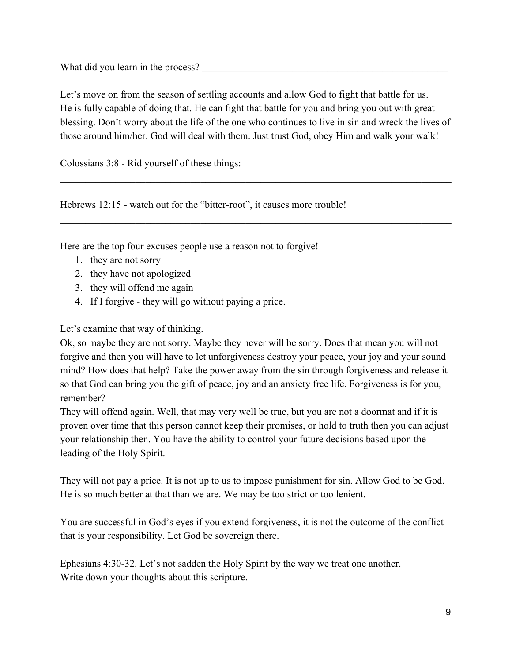What did you learn in the process?

Let's move on from the season of settling accounts and allow God to fight that battle for us. He is fully capable of doing that. He can fight that battle for you and bring you out with great blessing. Don't worry about the life of the one who continues to live in sin and wreck the lives of those around him/her. God will deal with them. Just trust God, obey Him and walk your walk!

 $\mathcal{L}_\mathcal{L} = \{ \mathcal{L}_\mathcal{L} = \{ \mathcal{L}_\mathcal{L} = \{ \mathcal{L}_\mathcal{L} = \{ \mathcal{L}_\mathcal{L} = \{ \mathcal{L}_\mathcal{L} = \{ \mathcal{L}_\mathcal{L} = \{ \mathcal{L}_\mathcal{L} = \{ \mathcal{L}_\mathcal{L} = \{ \mathcal{L}_\mathcal{L} = \{ \mathcal{L}_\mathcal{L} = \{ \mathcal{L}_\mathcal{L} = \{ \mathcal{L}_\mathcal{L} = \{ \mathcal{L}_\mathcal{L} = \{ \mathcal{L}_\mathcal{$ 

 $\mathcal{L}_\mathcal{L} = \{ \mathcal{L}_\mathcal{L} = \{ \mathcal{L}_\mathcal{L} = \{ \mathcal{L}_\mathcal{L} = \{ \mathcal{L}_\mathcal{L} = \{ \mathcal{L}_\mathcal{L} = \{ \mathcal{L}_\mathcal{L} = \{ \mathcal{L}_\mathcal{L} = \{ \mathcal{L}_\mathcal{L} = \{ \mathcal{L}_\mathcal{L} = \{ \mathcal{L}_\mathcal{L} = \{ \mathcal{L}_\mathcal{L} = \{ \mathcal{L}_\mathcal{L} = \{ \mathcal{L}_\mathcal{L} = \{ \mathcal{L}_\mathcal{$ 

Colossians 3:8 - Rid yourself of these things:

Hebrews 12:15 - watch out for the "bitter-root", it causes more trouble!

Here are the top four excuses people use a reason not to forgive!

- 1. they are not sorry
- 2. they have not apologized
- 3. they will offend me again
- 4. If I forgive they will go without paying a price.

Let's examine that way of thinking.

Ok, so maybe they are not sorry. Maybe they never will be sorry. Does that mean you will not forgive and then you will have to let unforgiveness destroy your peace, your joy and your sound mind? How does that help? Take the power away from the sin through forgiveness and release it so that God can bring you the gift of peace, joy and an anxiety free life. Forgiveness is for you, remember?

They will offend again. Well, that may very well be true, but you are not a doormat and if it is proven over time that this person cannot keep their promises, or hold to truth then you can adjust your relationship then. You have the ability to control your future decisions based upon the leading of the Holy Spirit.

They will not pay a price. It is not up to us to impose punishment for sin. Allow God to be God. He is so much better at that than we are. We may be too strict or too lenient.

You are successful in God's eyes if you extend forgiveness, it is not the outcome of the conflict that is your responsibility. Let God be sovereign there.

Ephesians 4:30-32. Let's not sadden the Holy Spirit by the way we treat one another. Write down your thoughts about this scripture.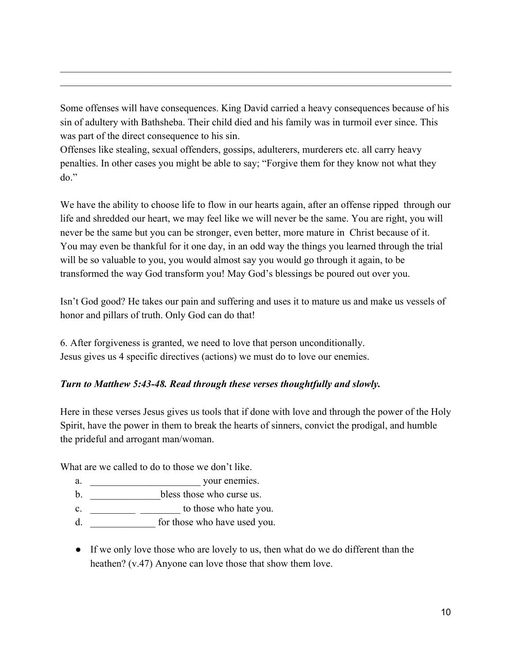Some offenses will have consequences. King David carried a heavy consequences because of his sin of adultery with Bathsheba. Their child died and his family was in turmoil ever since. This was part of the direct consequence to his sin.

 $\mathcal{L}_\mathcal{L} = \{ \mathcal{L}_\mathcal{L} = \{ \mathcal{L}_\mathcal{L} = \{ \mathcal{L}_\mathcal{L} = \{ \mathcal{L}_\mathcal{L} = \{ \mathcal{L}_\mathcal{L} = \{ \mathcal{L}_\mathcal{L} = \{ \mathcal{L}_\mathcal{L} = \{ \mathcal{L}_\mathcal{L} = \{ \mathcal{L}_\mathcal{L} = \{ \mathcal{L}_\mathcal{L} = \{ \mathcal{L}_\mathcal{L} = \{ \mathcal{L}_\mathcal{L} = \{ \mathcal{L}_\mathcal{L} = \{ \mathcal{L}_\mathcal{$  $\mathcal{L}_\mathcal{L} = \{ \mathcal{L}_\mathcal{L} = \{ \mathcal{L}_\mathcal{L} = \{ \mathcal{L}_\mathcal{L} = \{ \mathcal{L}_\mathcal{L} = \{ \mathcal{L}_\mathcal{L} = \{ \mathcal{L}_\mathcal{L} = \{ \mathcal{L}_\mathcal{L} = \{ \mathcal{L}_\mathcal{L} = \{ \mathcal{L}_\mathcal{L} = \{ \mathcal{L}_\mathcal{L} = \{ \mathcal{L}_\mathcal{L} = \{ \mathcal{L}_\mathcal{L} = \{ \mathcal{L}_\mathcal{L} = \{ \mathcal{L}_\mathcal{$ 

Offenses like stealing, sexual offenders, gossips, adulterers, murderers etc. all carry heavy penalties. In other cases you might be able to say; "Forgive them for they know not what they do."

We have the ability to choose life to flow in our hearts again, after an offense ripped through our life and shredded our heart, we may feel like we will never be the same. You are right, you will never be the same but you can be stronger, even better, more mature in Christ because of it. You may even be thankful for it one day, in an odd way the things you learned through the trial will be so valuable to you, you would almost say you would go through it again, to be transformed the way God transform you! May God's blessings be poured out over you.

Isn't God good? He takes our pain and suffering and uses it to mature us and make us vessels of honor and pillars of truth. Only God can do that!

6. After forgiveness is granted, we need to love that person unconditionally. Jesus gives us 4 specific directives (actions) we must do to love our enemies.

#### *Turn to Matthew 5:4348. Read through these verses thoughtfully and slowly.*

Here in these verses Jesus gives us tools that if done with love and through the power of the Holy Spirit, have the power in them to break the hearts of sinners, convict the prodigal, and humble the prideful and arrogant man/woman.

What are we called to do to those we don't like.

- a. \_\_\_\_\_\_\_\_\_\_\_\_\_\_\_\_\_\_\_\_\_\_ your enemies.
- b.  $\blacksquare$  bless those who curse us.
- c.  $\frac{1}{2}$   $\frac{1}{2}$  to those who hate you.
- d.  $\frac{1}{2}$  for those who have used you.
- If we only love those who are lovely to us, then what do we do different than the heathen? (v.47) Anyone can love those that show them love.